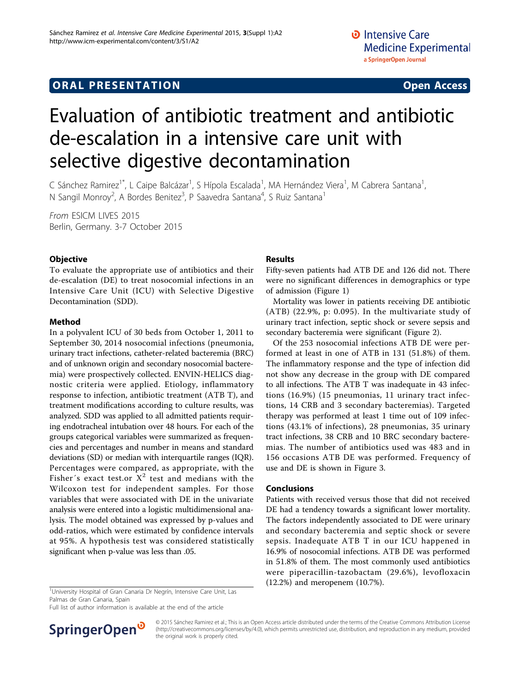# Evaluation of antibiotic treatment and antibiotic de-escalation in a intensive care unit with selective digestive decontamination

C Sánchez Ramirez<sup>1\*</sup>, L Caipe Balcázar<sup>1</sup>, S Hípola Escalada<sup>1</sup>, MA Hernández Viera<sup>1</sup>, M Cabrera Santana<sup>1</sup> , N Sangil Monroy<sup>2</sup>, A Bordes Benitez<sup>3</sup>, P Saavedra Santana<sup>4</sup>, S Ruiz Santana<sup>1</sup>

From ESICM LIVES 2015 Berlin, Germany. 3-7 October 2015

## **Objective**

To evaluate the appropriate use of antibiotics and their de-escalation (DE) to treat nosocomial infections in an Intensive Care Unit (ICU) with Selective Digestive Decontamination (SDD).

#### Method

In a polyvalent ICU of 30 beds from October 1, 2011 to September 30, 2014 nosocomial infections (pneumonia, urinary tract infections, catheter-related bacteremia (BRC) and of unknown origin and secondary nosocomial bacteremia) were prospectively collected. ENVIN-HELICS diagnostic criteria were applied. Etiology, inflammatory response to infection, antibiotic treatment (ATB T), and treatment modifications according to culture results, was analyzed. SDD was applied to all admitted patients requiring endotracheal intubation over 48 hours. For each of the groups categorical variables were summarized as frequencies and percentages and number in means and standard deviations (SD) or median with interquartile ranges (IQR). Percentages were compared, as appropriate, with the Fisher's exact test.or  $X^2$  test and medians with the Wilcoxon test for independent samples. For those variables that were associated with DE in the univariate analysis were entered into a logistic multidimensional analysis. The model obtained was expressed by p-values and odd-ratios, which were estimated by confidence intervals at 95%. A hypothesis test was considered statistically significant when p-value was less than .05.

### Results

Fifty-seven patients had ATB DE and 126 did not. There were no significant differences in demographics or type of admission (Figure [1\)](#page-1-0)

Mortality was lower in patients receiving DE antibiotic (ATB) (22.9%, p: 0.095). In the multivariate study of urinary tract infection, septic shock or severe sepsis and secondary bacteremia were significant (Figure [2](#page-1-0)).

Of the 253 nosocomial infections ATB DE were performed at least in one of ATB in 131 (51.8%) of them. The inflammatory response and the type of infection did not show any decrease in the group with DE compared to all infections. The ATB T was inadequate in 43 infections (16.9%) (15 pneumonias, 11 urinary tract infections, 14 CRB and 3 secondary bacteremias). Targeted therapy was performed at least 1 time out of 109 infections (43.1% of infections), 28 pneumonias, 35 urinary tract infections, 38 CRB and 10 BRC secondary bacteremias. The number of antibiotics used was 483 and in 156 occasions ATB DE was performed. Frequency of use and DE is shown in Figure [3.](#page-2-0)

### Conclusions

Patients with received versus those that did not received DE had a tendency towards a significant lower mortality. The factors independently associated to DE were urinary and secondary bacteremia and septic shock or severe sepsis. Inadequate ATB T in our ICU happened in 16.9% of nosocomial infections. ATB DE was performed in 51.8% of them. The most commonly used antibiotics were piperacillin-tazobactam (29.6%), levofloxacin  $(12.2%)$  and meropenem  $(10.7%).$ 

<sup>1</sup>University Hospital of Gran Canaria Dr Negrín, Intensive Care Unit, Las Palmas de Gran Canaria, Spain

Full list of author information is available at the end of the article



© 2015 Sánchez Ramirez et al.; This is an Open Access article distributed under the terms of the Creative Commons Attribution License [\(http://creativecommons.org/licenses/by/4.0](http://creativecommons.org/licenses/by/4.0)), which permits unrestricted use, distribution, and reproduction in any medium, provided the original work is properly cited.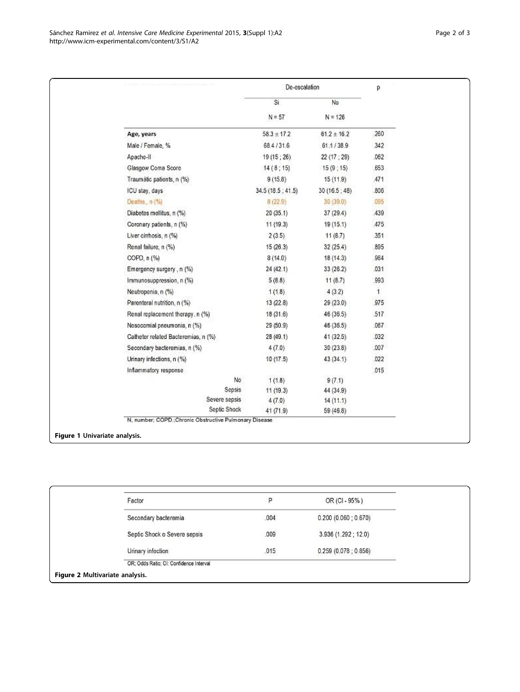<span id="page-1-0"></span>

|                                                                        | De-escalation    |                 | р          |
|------------------------------------------------------------------------|------------------|-----------------|------------|
|                                                                        | Si               | No              |            |
|                                                                        | $N = 57$         | $N = 126$       |            |
| Age, years                                                             | $58.3 \pm 17.2$  | $61.2 \pm 16.2$ | 260        |
| Male / Female, %                                                       | 68.4/31.6        | 61.1/38.9       | 342        |
| Apache-II                                                              | 19 (15 ; 26)     | 22 (17 : 29)    | .062       |
| Glasgow Coma Score                                                     | 14(8;15)         | 15(9;15)        | .653       |
| Traumátic patients, n (%)                                              | 9(15.8)          | 15 (11.9)       | .471       |
| ICU stay, days                                                         | 34.5(18.5; 41.5) | 30(16.5; 48)    | .806       |
| Deaths, n (%)                                                          | 8(22.9)          | 30 (39.0)       | .095       |
| Diabetes mellitus, n (%)                                               | 20(35.1)         | 37 (29.4)       | <b>439</b> |
| Coronary patients, n (%)                                               | 11(19.3)         | 19(15.1)        | 475        |
| Liver cirrhosis, n (%)                                                 | 2(3.5)           | 11(8.7)         | .351       |
| Renal failure, n (%)                                                   | 15(26.3)         | 32(25.4)        | .895       |
| COPD, n (%)                                                            | 8(14.0)          | 18(14.3)        | 964        |
| Emergency surgery, n (%)                                               | 24 (42.1)        | 33 (26.2)       | .031       |
| Immunosuppression, n (%)                                               | 5(8.8)           | 11(8.7)         | .993       |
| Neutropenia, n (%)                                                     | 1(1.8)           | 4(3.2)          | 1          |
| Parenteral nutrition, n (%)                                            | 13(22.8)         | 29 (23.0)       | .975       |
| Renal replacement therapy. n (%)                                       | 18 (31.6)        | 46 (36.5)       | .517       |
| Nosocomial pneumonia, n (%)                                            | 29 (50.9)        | 46 (36.5)       | .067       |
| Catheter related Bacteremias, n (%)                                    | 28 (49.1)        | 41 (32.5)       | .032       |
| Secondary bacteremias, n (%)                                           | 4(7.0)           | 30(23.8)        | .007       |
| Urinary infections, n (%)                                              | 10(17.5)         | 43(34.1)        | .022       |
| Inflammatory response                                                  |                  |                 | .015       |
| No                                                                     | 1(1.8)           | 9(7.1)          |            |
| Sepsis                                                                 | 11 (19.3)        | 44 (34.9)       |            |
| Severe sepsis                                                          | 4(7.0)           | 14(11.1)        |            |
| Septic Shock<br>N. number; COPD.;Chronic Obstructive Pulmonary Disease | 41 (71.9)        | 59 (46.8)       |            |

| Factor                                  | P    | OR (CI - 95%)       |
|-----------------------------------------|------|---------------------|
| Secondary bacteremia                    | .004 | 0.200(0.060; 0.670) |
| Septic Shock o Severe sepsis            | .009 | 3.936 (1.292; 12.0) |
| Urinary infection                       | .015 | 0.259(0.078; 0.856) |
| OR; Odds Ratio; CI: Confidence Interval |      |                     |